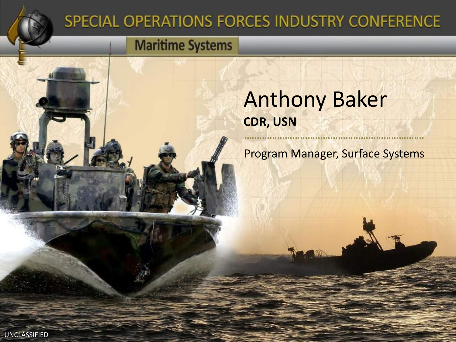

## SPECIAL OPERATIONS FORCES INDUSTRY CONFERENCE

## **Maritime Systems**

## Anthony Baker **CDR, USN**

Program Manager, Surface Systems

1

UNCLASSIFIED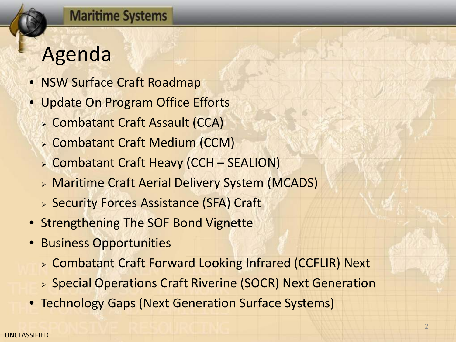## Agenda

- NSW Surface Craft Roadmap
- Update On Program Office Efforts
	- Combatant Craft Assault (CCA)
	- Combatant Craft Medium (CCM)
	- Combatant Craft Heavy (CCH SEALION)
	- Maritime Craft Aerial Delivery System (MCADS)
	- **> Security Forces Assistance (SFA) Craft**
- Strengthening The SOF Bond Vignette
- Business Opportunities
	- Combatant Craft Forward Looking Infrared (CCFLIR) Next
	- Special Operations Craft Riverine (SOCR) Next Generation
- Technology Gaps (Next Generation Surface Systems)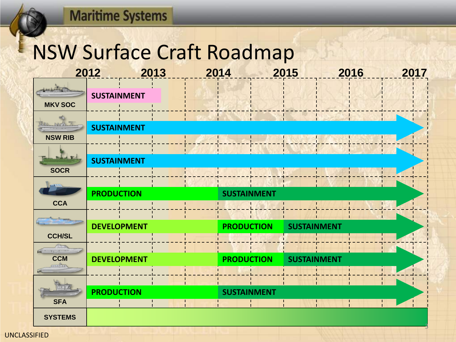## NSW Surface Craft Roadmap

|                                                  | 2012               | 2013<br>2014 |                    | 2015               | 2016<br>2017 |  |
|--------------------------------------------------|--------------------|--------------|--------------------|--------------------|--------------|--|
| 1 active to the form<br><b>MKV SOC</b>           | <b>SUSTAINMENT</b> |              |                    |                    |              |  |
| 18853<br><b>NSW RIB</b>                          | <b>SUSTAINMENT</b> |              |                    |                    |              |  |
| <b>Robert Rd</b><br><b>SOCR</b>                  | <b>SUSTAINMENT</b> |              |                    |                    |              |  |
| $\sqrt{1+2}$                                     | <b>PRODUCTION</b>  |              | <b>SUSTAINMENT</b> |                    |              |  |
| <b>CCA</b>                                       | <b>DEVELOPMENT</b> |              | <b>PRODUCTION</b>  | <b>SUSTAINMENT</b> |              |  |
| <b>CCH/SL</b><br>$F = \frac{1}{2}$<br><b>CCM</b> |                    |              |                    |                    |              |  |
| <u>and u</u><br><b>SFA</b>                       | <b>DEVELOPMENT</b> |              | <b>PRODUCTION</b>  | <b>SUSTAINMENT</b> |              |  |
|                                                  | <b>PRODUCTION</b>  |              | <b>SUSTAINMENT</b> | T.                 |              |  |
| <b>SYSTEMS</b>                                   |                    |              |                    |                    |              |  |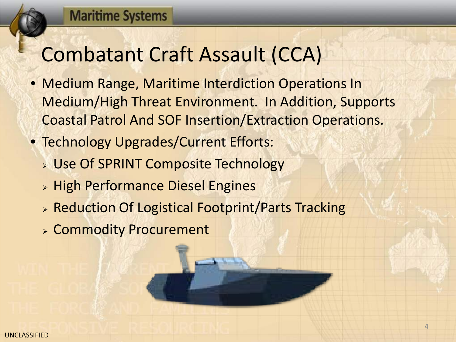## Combatant Craft Assault (CCA)

- Medium Range, Maritime Interdiction Operations In Medium/High Threat Environment. In Addition, Supports Coastal Patrol And SOF Insertion/Extraction Operations.
- Technology Upgrades/Current Efforts:
	- **DESPRINT Composite Technology**
	- **Example Performance Diesel Engines**
	- > Reduction Of Logistical Footprint/Parts Tracking
	- Commodity Procurement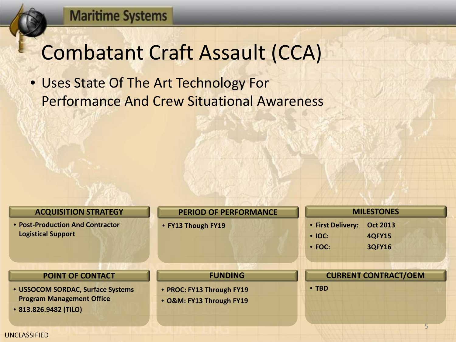## Combatant Craft Assault (CCA)

• Uses State Of The Art Technology For Performance And Crew Situational Awareness

#### **ACQUISITION STRATEGY**

• **Post-Production And Contractor Logistical Support**

#### **POINT OF CONTACT**

- **USSOCOM SORDAC, Surface Systems Program Management Office**
- **813.826.9482 (TILO)**

#### **PERIOD OF PERFORMANCE**

**FUNDING**

• **FY13 Though FY19**

• **PROC: FY13 Through FY19** • **O&M: FY13 Through FY19**

#### **MILESTONES**

- **First Delivery: Oct 2013**
- **IOC: 4QFY15**
- **FOC: 3QFY16**

#### **CURRENT CONTRACT/OEM**

• **TBD**

UNCLASSIFIED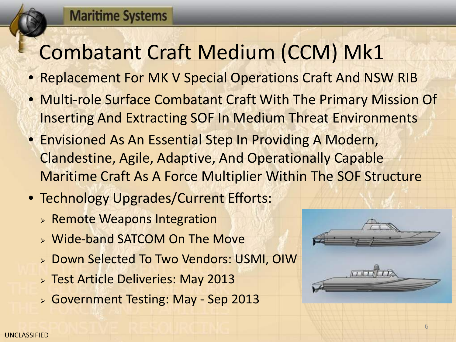# Combatant Craft Medium (CCM) Mk1

- Replacement For MK V Special Operations Craft And NSW RIB
- Multi-role Surface Combatant Craft With The Primary Mission Of Inserting And Extracting SOF In Medium Threat Environments
- Envisioned As An Essential Step In Providing A Modern, Clandestine, Agile, Adaptive, And Operationally Capable Maritime Craft As A Force Multiplier Within The SOF Structure
- Technology Upgrades/Current Efforts:
	- **> Remote Weapons Integration**
	- Wide-band SATCOM On The Move
	- Down Selected To Two Vendors: USMI, OIW
	- **> Test Article Deliveries: May 2013**
	- Government Testing: May Sep 2013



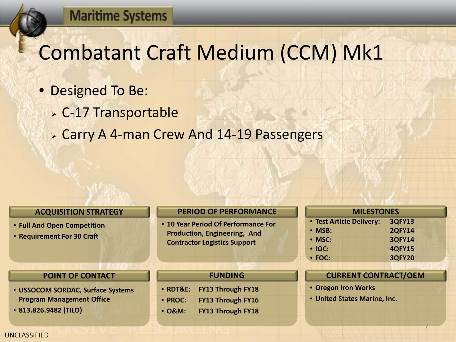## Combatant Craft Medium (CCM) Mk1

- Designed To Be:
	- C-17 Transportable
	- Carry A 4-man Crew And 14-19 Passengers

#### **ACQUISITION STRATEGY**

- **Full And Open Competition**
- **Requirement For 30 Craft**

#### **POINT OF CONTACT**

- **USSOCOM SORDAC, Surface Systems Program Management Office**
- **813.826.9482 (TILO)**

#### **PERIOD OF PERFORMANCE**

• **10 Year Period Of Performance For Production, Engineering, And Contractor Logistics Support**

#### **FUNDING**

- **RDT&E: FY13 Through FY18**
- **PROC: FY13 Through FY16**
- **O&M: FY13 Through FY18**

| <b>MILESTONES</b>        |               |  |  |  |
|--------------------------|---------------|--|--|--|
| • Test Article Delivery: | <b>3QFY13</b> |  |  |  |
| • MSB:                   | <b>2QFY14</b> |  |  |  |
| • MSC:                   | <b>3QFY14</b> |  |  |  |
| • IOC:                   | <b>4QFY15</b> |  |  |  |
| $\cdot$ FOC:             | <b>3QFY20</b> |  |  |  |

#### **CURRENT CONTRACT/OEM**

7

- **Oregon Iron Works**
- **United States Marine, Inc.**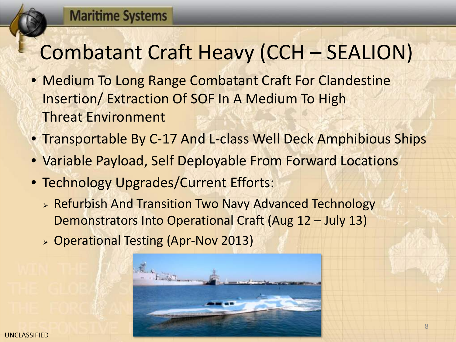# Combatant Craft Heavy (CCH – SEALION)

- Medium To Long Range Combatant Craft For Clandestine Insertion/ Extraction Of SOF In A Medium To High Threat Environment
- Transportable By C-17 And L-class Well Deck Amphibious Ships
- Variable Payload, Self Deployable From Forward Locations
- Technology Upgrades/Current Efforts:
	- **EXA)** Refurbish And Transition Two Navy Advanced Technology Demonstrators Into Operational Craft (Aug 12 – July 13)
	- Operational Testing (Apr-Nov 2013)

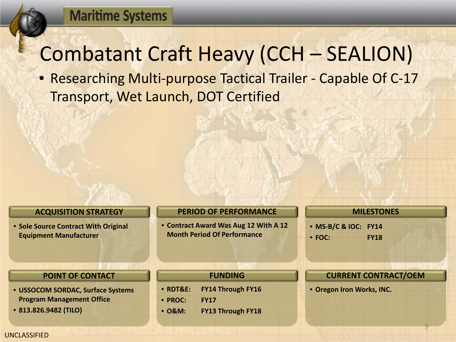## Combatant Craft Heavy (CCH – SEALION)

• Researching Multi-purpose Tactical Trailer - Capable Of C-17 Transport, Wet Launch, DOT Certified

#### **ACQUISITION STRATEGY**

• **Sole Source Contract With Original Equipment Manufacturer**

#### **PERIOD OF PERFORMANCE**

• **Contract Award Was Aug 12 With A 12 Month Period Of Performance**

#### **MILESTONES**

- **MS-B/C & IOC: FY14**
- **FOC: FY18**

#### **POINT OF CONTACT**

- **USSOCOM SORDAC, Surface Systems Program Management Office**
- **813.826.9482 (TILO)**

#### **FUNDING**

- **RDT&E: FY14 Through FY16**
- **PROC: FY17**
- **O&M: FY13 Through FY18**

#### **CURRENT CONTRACT/OEM**

9

• **Oregon Iron Works, INC.**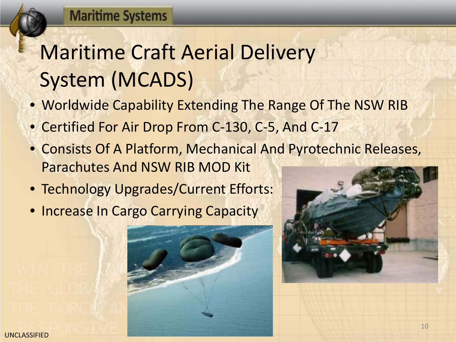# Maritime Craft Aerial Delivery System (MCADS)

- Worldwide Capability Extending The Range Of The NSW RIB
- Certified For Air Drop From C-130, C-5, And C-17
- Consists Of A Platform, Mechanical And Pyrotechnic Releases, Parachutes And NSW RIB MOD Kit
- Technology Upgrades/Current Efforts:
- Increase In Cargo Carrying Capacity



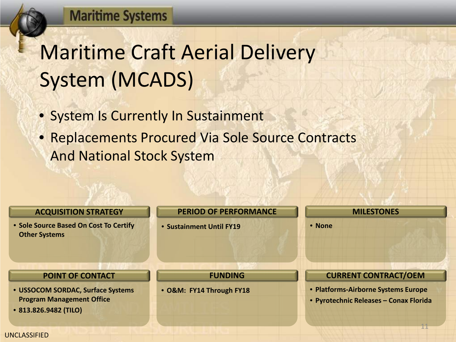# Maritime Craft Aerial Delivery System (MCADS)

- System Is Currently In Sustainment
- Replacements Procured Via Sole Source Contracts And National Stock System

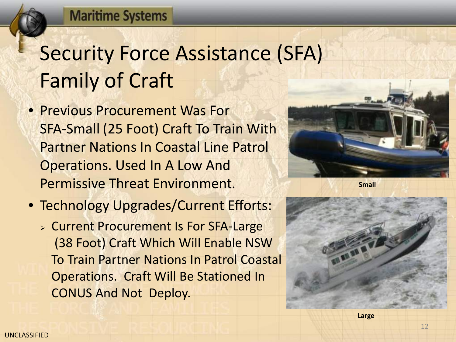# Security Force Assistance (SFA) Family of Craft

- Previous Procurement Was For SFA-Small (25 Foot) Craft To Train With Partner Nations In Coastal Line Patrol Operations. Used In A Low And Permissive Threat Environment.
- Technology Upgrades/Current Efforts:
	- **EXA** Current Procurement Is For SFA-Large (38 Foot) Craft Which Will Enable NSW To Train Partner Nations In Patrol Coastal Operations. Craft Will Be Stationed In CONUS And Not Deploy.



**Small**

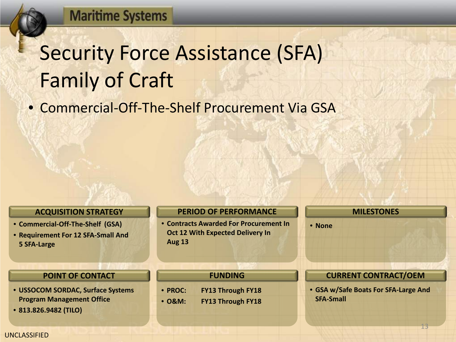# Security Force Assistance (SFA) Family of Craft

• Commercial-Off-The-Shelf Procurement Via GSA

#### **ACQUISITION STRATEGY**

- **Commercial-Off-The-Shelf (GSA)**
- **Requirement For 12 SFA-Small And 5 SFA-Large**

#### **POINT OF CONTACT**

- **USSOCOM SORDAC, Surface Systems Program Management Office**
- **813.826.9482 (TILO)**

#### **PERIOD OF PERFORMANCE**

• **Contracts Awarded For Procurement In Oct 12 With Expected Delivery In Aug 13** 

**FUNDING**

• **PROC: FY13 Through FY18** • **O&M: FY13 Through FY18**

#### **MILESTONES**

• **None**

#### **CURRENT CONTRACT/OEM**

• **GSA w/Safe Boats For SFA-Large And SFA-Small**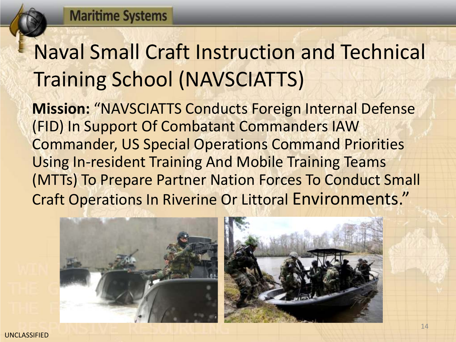# Naval Small Craft Instruction and Technical Training School (NAVSCIATTS)

**Mission:** "NAVSCIATTS Conducts Foreign Internal Defense (FID) In Support Of Combatant Commanders IAW Commander, US Special Operations Command Priorities Using In-resident Training And Mobile Training Teams (MTTs) To Prepare Partner Nation Forces To Conduct Small Craft Operations In Riverine Or Littoral Environments."



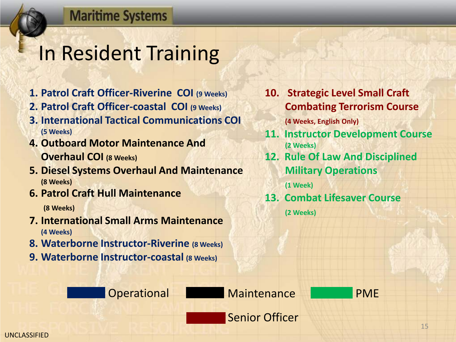## In Resident Training

- **1. Patrol Craft Officer-Riverine COI (9 Weeks)**
- **2. Patrol Craft Officer-coastal COI (9 Weeks)**
- **3. International Tactical Communications COI (5 Weeks)**
- **4. Outboard Motor Maintenance And Overhaul COI (8 Weeks)**
- **5. Diesel Systems Overhaul And Maintenance (8 Weeks)**
- **6. Patrol Craft Hull Maintenance**

**(8 Weeks)**

- **7. International Small Arms Maintenance (4 Weeks)**
- **8. Waterborne Instructor-Riverine (8 Weeks)**
- **9. Waterborne Instructor-coastal (8 Weeks)**

**10. Strategic Level Small Craft Combating Terrorism Course** 

**(4 Weeks, English Only)**

- **11. Instructor Development Course (2 Weeks)**
- **12. Rule Of Law And Disciplined Military Operations**

**(1 Week)**

**13. Combat Lifesaver Course**

**(2 Weeks)**

Operational Maintenance PME

Senior Officer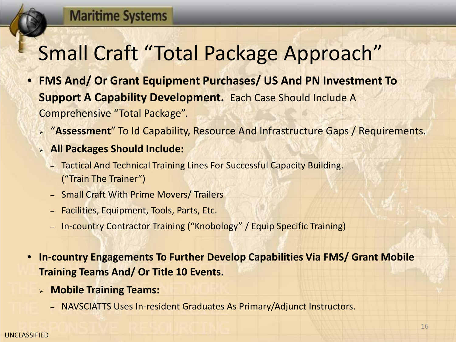# Small Craft "Total Package Approach"

- **FMS And/ Or Grant Equipment Purchases/ US And PN Investment To Support A Capability Development.** Each Case Should Include A Comprehensive "Total Package".
	- "**Assessment**" To Id Capability, Resource And Infrastructure Gaps / Requirements.
	- **All Packages Should Include:**
		- Tactical And Technical Training Lines For Successful Capacity Building. ("Train The Trainer")
		- Small Craft With Prime Movers/ Trailers
		- Facilities, Equipment, Tools, Parts, Etc.
		- In-country Contractor Training ("Knobology" / Equip Specific Training)
- **In-country Engagements To Further Develop Capabilities Via FMS/ Grant Mobile Training Teams And/ Or Title 10 Events.**
	- **Mobile Training Teams:**
		- NAVSCIATTS Uses In-resident Graduates As Primary/Adjunct Instructors.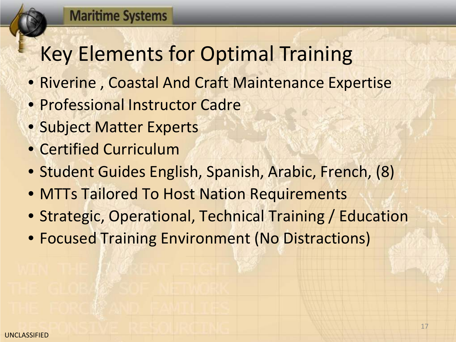# Key Elements for Optimal Training

- Riverine , Coastal And Craft Maintenance Expertise
- Professional Instructor Cadre
- Subject Matter Experts
- Certified Curriculum
- Student Guides English, Spanish, Arabic, French, (8)
- MTTs Tailored To Host Nation Requirements
- Strategic, Operational, Technical Training / Education
- Focused Training Environment (No Distractions)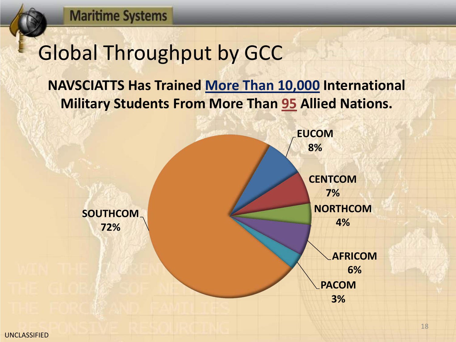## Global Throughput by GCC

## **NAVSCIATTS Has Trained More Than 10,000 International Military Students From More Than 95 Allied Nations.**

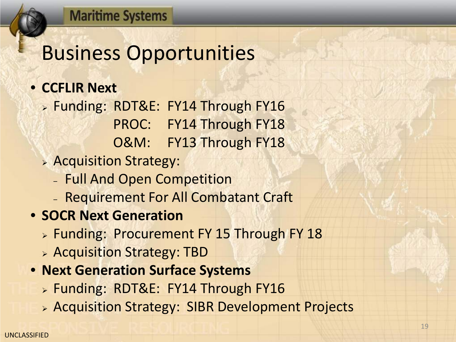## Business Opportunities

## • **CCFLIR Next**

> Funding: RDT&E: FY14 Through FY16 PROC: FY14 Through FY18 O&M: FY13 Through FY18

- Acquisition Strategy:
	- Full And Open Competition
	- Requirement For All Combatant Craft
- **SOCR Next Generation**
	- **Eunding: Procurement FY 15 Through FY 18**
	- Acquisition Strategy: TBD
- **Next Generation Surface Systems**
	- > Funding: RDT&E: FY14 Through FY16
	- Acquisition Strategy: SIBR Development Projects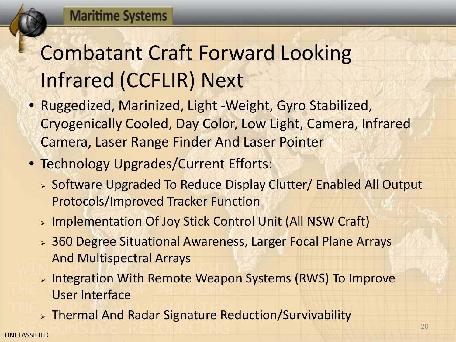# Combatant Craft Forward Looking Infrared (CCFLIR) Next

- Ruggedized, Marinized, Light -Weight, Gyro Stabilized, Cryogenically Cooled, Day Color, Low Light, Camera, Infrared Camera, Laser Range Finder And Laser Pointer
- Technology Upgrades/Current Efforts:
	- Software Upgraded To Reduce Display Clutter/ Enabled All Output Protocols/Improved Tracker Function
	- > Implementation Of Joy Stick Control Unit (All NSW Craft)
	- 360 Degree Situational Awareness, Larger Focal Plane Arrays And Multispectral Arrays
	- > Integration With Remote Weapon Systems (RWS) To Improve User Interface
	- Thermal And Radar Signature Reduction/Survivability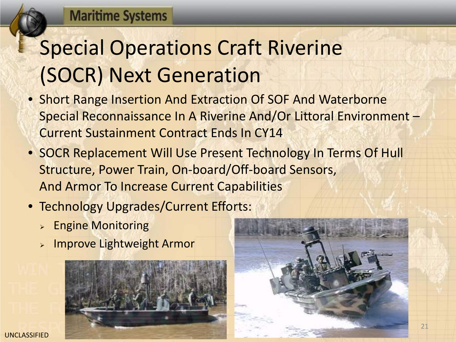# Special Operations Craft Riverine (SOCR) Next Generation

- Short Range Insertion And Extraction Of SOF And Waterborne Special Reconnaissance In A Riverine And/Or Littoral Environment – Current Sustainment Contract Ends In CY14
- SOCR Replacement Will Use Present Technology In Terms Of Hull Structure, Power Train, On-board/Off-board Sensors, And Armor To Increase Current Capabilities
- Technology Upgrades/Current Efforts:
	- **Engine Monitoring**
	- $>$  Improve Lightweight Armor



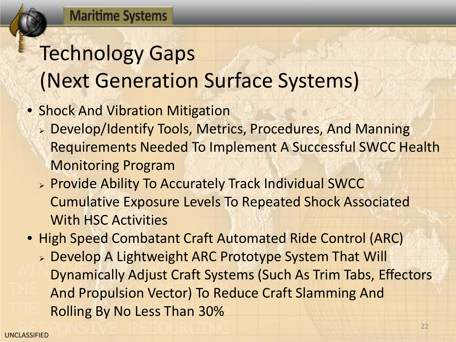# Technology Gaps (Next Generation Surface Systems)

- Shock And Vibration Mitigation
	- Develop/Identify Tools, Metrics, Procedures, And Manning Requirements Needed To Implement A Successful SWCC Health Monitoring Program
	- **> Provide Ability To Accurately Track Individual SWCC** Cumulative Exposure Levels To Repeated Shock Associated With HSC Activities
- High Speed Combatant Craft Automated Ride Control (ARC)
	- Develop A Lightweight ARC Prototype System That Will Dynamically Adjust Craft Systems (Such As Trim Tabs, Effectors And Propulsion Vector) To Reduce Craft Slamming And Rolling By No Less Than 30%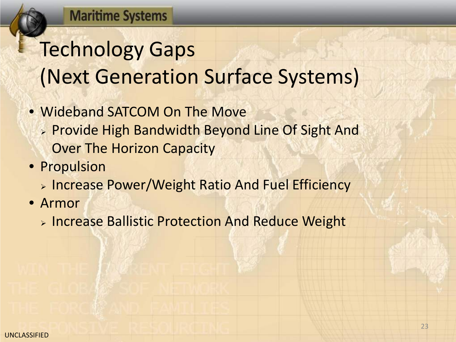# Technology Gaps (Next Generation Surface Systems)

- Wideband SATCOM On The Move
	- Provide High Bandwidth Beyond Line Of Sight And Over The Horizon Capacity
- Propulsion
	- **Example 2 Follow Prower/Weight Ratio And Fuel Efficiency**
- Armor
	- **> Increase Ballistic Protection And Reduce Weight**